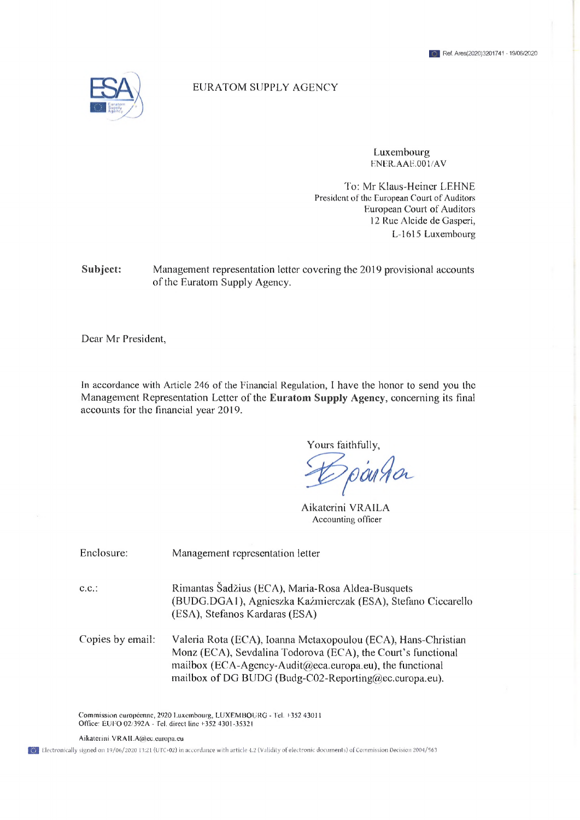

## EURATOM SUPPLY AGENCY

Luxembourg ENER.AAE.001/AV

To: Mr Klaus-Heiner LEHNE President of the European Court of Auditors European Court of Auditors 12 Rue Alcide de Gasperi, L-l 615 Luxembourg

**Subject:** Management representation letter covering the 2019 provisional accounts of the Euratom Supply Agency.

Dear Mr President,

In accordance with Article 246 of the Financial Regulation, <sup>I</sup> have the honor to send you the Management Representation Letter of the **Euratom Supply Agency,** concerning its final accounts for the financial year 2019.

Yours faithfully,

Aikatcrini VRAILA Accounting officer

Enclosure: Management representation letter

C.C.: Rimantas Šadžius (ECA), Maria-Rosa Aldea-Busquets (BUDG.DGAl), Agnieszka Kaźmierczak (ESA), Stefano Ciccarello (ESA), Stefanos Kardaras (ESA)

Copies by email: Valeria Rota (ECA), Ioanna Mctaxopoulou (ECA), Hans-Christian Monz (ECA), Sevdalina Todorova (ECA), the Court's functional mailbox ([ECA-Ageney-Audit@eca.europa.eu\)](mailto:ECA-Ageney-Audit@eca.europa.eu), the functional mailbox of DG BUDG ([Budg-C02-Reporting@ec.europa.eu\)](mailto:Budg-C02-Reporting@ec.europa.eu).

Commission européenne, 2920 Luxembourg, LUXEMBOURG - Tel. +352 43011 Office: EUFO 02/392A - Tel. direct line +352 4301-35321

Aikatcrini,VRAlLA@ec.europa,eu

13. Electronically signed on 19/06/2020 13:21 (UTC+02) in accordance with article 4.2 (Validity of electronic documents) of Commission Decision 2004/563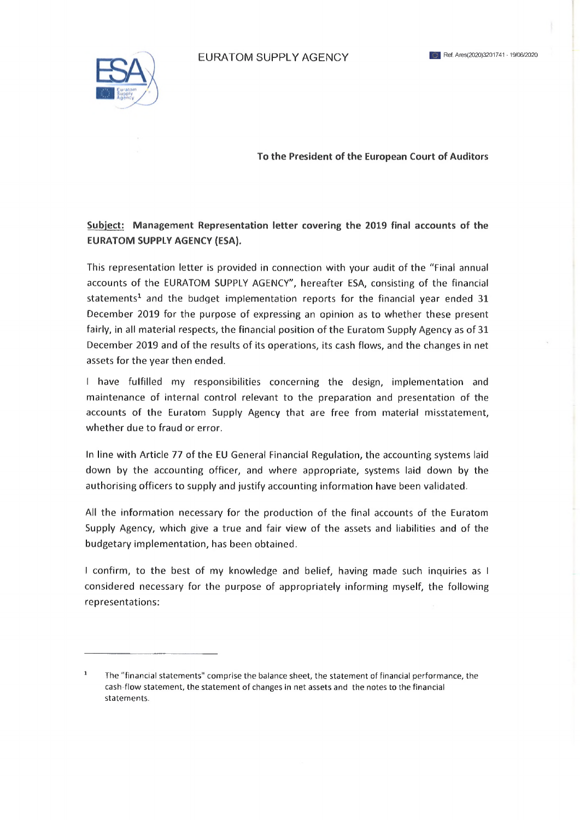EURATOM SUPPLY AGENCY **ИЛИССКИ** В Ref. Ares(2020)3201741 - 19/06/2020



**To the President of the European Court of Auditors**

**Subject: Management Representation letter covering the 2019 final accounts of the EURATOM SUPPLY AGENCY (ESA).**

This representation letter is provided in connection with your audit of the "Final annual accounts of the EURATOM SUPPLY AGENCY", hereafter ESA, consisting of the financial statements<sup>1</sup> and the budget implementation reports for the financial year ended 31 December 2019 for the purpose of expressing an opinion as to whether these present fairly, in all material respects, the financial position of the Euratom Supply Agency as of 31 December 2019 and of the results of its operations, its cash flows, and the changes in net assets for the year then ended.

<sup>I</sup> have fulfilled my responsibilities concerning the design, implementation and maintenance of internal control relevant to the preparation and presentation of the accounts of the Euratom Supply Agency that are free from material misstatement, whether due to fraud or error.

In line with Article 77 of the EU General Financial Regulation, the accounting systems laid down by the accounting officer, and where appropriate, systems laid down by the authorising officers to supply and justify accounting information have been validated.

All the information necessary for the production of the final accounts of the Euratom Supply Agency, which give <sup>a</sup> true and fair view of the assets and liabilities and of the budgetary implementation, has been obtained.

<sup>I</sup> confirm, to the best of my knowledge and belief, having made such inquiries as <sup>I</sup> considered necessary for the purpose of appropriately informing myself, the following representations:

<sup>1</sup> The "financial statements" comprise the balance sheet, the statement of financial performance, the cash-flow statement, the statement of changes in net assets and the notes to the financial statements.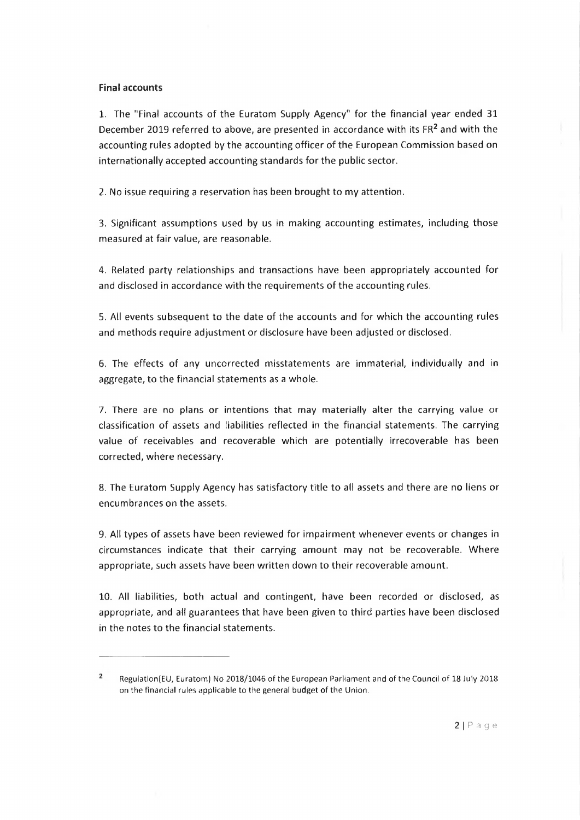## **Final accounts**

1. The "Final accounts of the Euratom Supply Agency" for the financial year ended 31 December 2019 referred to above, are presented in accordance with its FR<sup>2</sup> and with the accounting rules adopted by the accounting officer of the European Commission based on internationally accepted accounting standards for the public sector.

2. No issue requiring <sup>a</sup> reservation has been brought to my attention.

3. Significant assumptions used by us in making accounting estimates, including those measured at fair value, are reasonable.

4. Related party relationships and transactions have been appropriately accounted for and disclosed in accordance with the requirements of the accounting rules.

5. All events subsequent to the date of the accounts and for which the accounting rules and methods require adjustment or disclosure have been adjusted or disclosed.

6. The effects of any uncorrected misstatements are immaterial, individually and in aggregate, to the financial statements as <sup>a</sup> whole.

7. There are no plans or intentions that may materially alter the carrying value or classification of assets and liabilities reflected in the financial statements. The carrying value of receivables and recoverable which are potentially irrecoverable has been corrected, where necessary.

8. The Euratom Supply Agency has satisfactory title to all assets and there are no liens or encumbrances on the assets.

9. All types of assets have been reviewed for impairment whenever events or changes in circumstances indicate that their carrying amount may not be recoverable. Where appropriate, such assets have been written down to their recoverable amount.

10. All liabilities, both actual and contingent, have been recorded or disclosed, as appropriate, and all guarantees that have been given to third parties have been disclosed in the notes to the financial statements.

 $\overline{2}$ Regulation(EU, Euratom) No 2018/1046 of the European Parliament and of the Council of 18 July 2018 on the financial rules applicable to the general budget of the Union.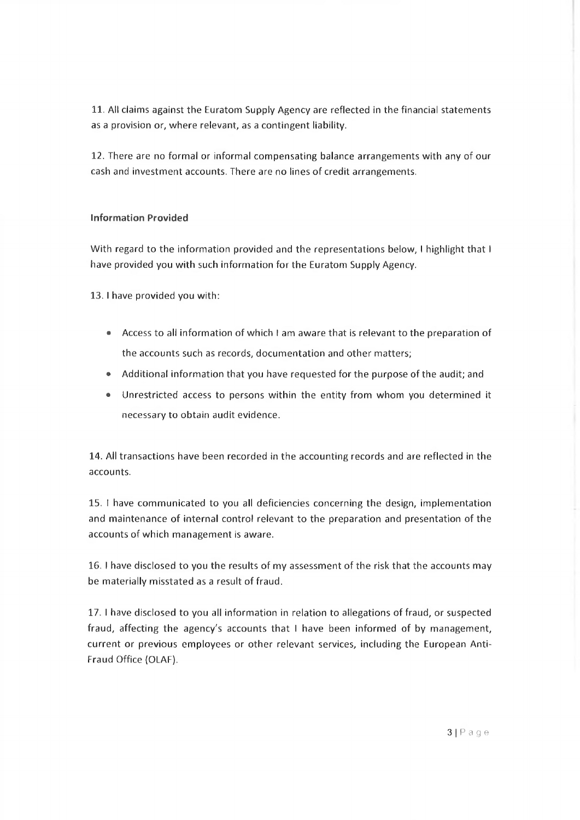11, All claims against the Euratom Supply Agency are reflected in the financial statements as a provision or, where relevant, as <sup>a</sup> contingent liability.

12, There are no formal or informal compensating balance arrangements with any of our cash and investment accounts. There are no lines of credit arrangements.

## **Information Provided**

With regard to the information provided and the representations below, I highlight that I have provided you with such information for the Euratom Supply Agency.

13. <sup>I</sup> have provided you with:

- Access to all information of which <sup>I</sup> am aware that is relevant to the preparation of the accounts such as records, documentation and other matters;
- Additional information that you have requested for the purpose of the audit; and
- Unrestricted access to persons within the entity from whom you determined it necessary to obtain audit evidence.

14. All transactions have been recorded in the accounting records and are reflected in the accounts.

15. <sup>I</sup> have communicated to you all deficiencies concerning the design, implementation and maintenance of internal control relevant to the preparation and presentation of the accounts of which management is aware.

16. <sup>I</sup> have disclosed to you the results of my assessment of the risk that the accounts may be materially misstated as a result of fraud.

17. <sup>I</sup> have disclosed to you all information in relation to allegations of fraud, or suspected fraud, affecting the agency's accounts that <sup>I</sup> have been informed of by management, current or previous employees or other relevant services, including the European Anti-Fraud Office (OLAF).